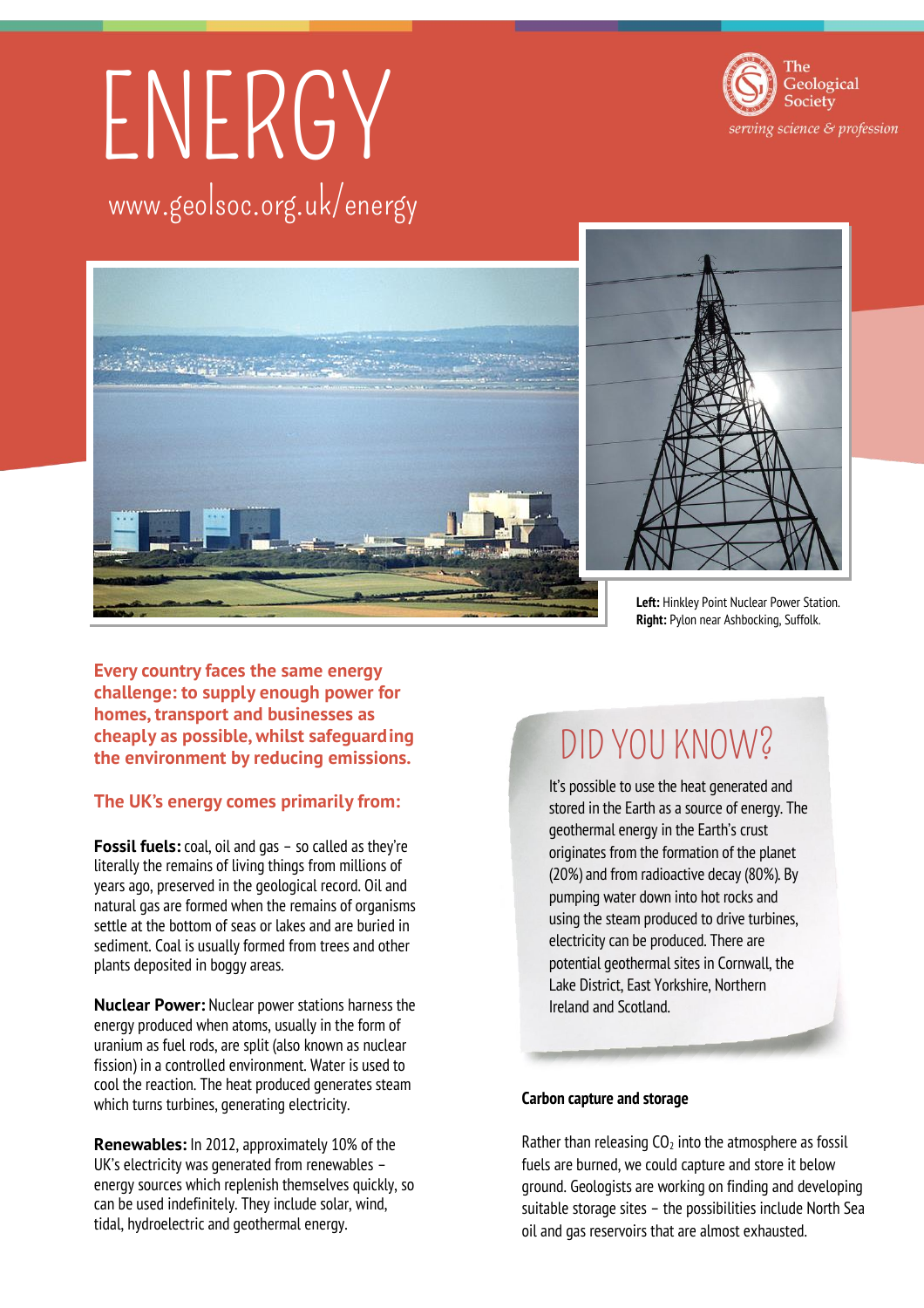# ENERGY www.geolsoc.org.uk/energy





**Every country faces the same energy challenge: to supply enough power for homes, transport and businesses as cheaply as possible, whilst safeguarding the environment by reducing emissions.** 

### **The UK's energy comes primarily from:**

**Fossil fuels:** coal, oil and gas – so called as they're literally the remains of living things from millions of years ago, preserved in the geological record. Oil and natural gas are formed when the remains of organisms settle at the bottom of seas or lakes and are buried in sediment. Coal is usually formed from trees and other plants deposited in boggy areas.

**Nuclear Power:** Nuclear power stations harness the energy produced when atoms, usually in the form of uranium as fuel rods, are split (also known as nuclear fission) in a controlled environment. Water is used to cool the reaction. The heat produced generates steam which turns turbines, generating electricity.

**Renewables:** In 2012, approximately 10% of the UK's electricity was generated from renewables – energy sources which replenish themselves quickly, so can be used indefinitely. They include solar, wind, tidal, hydroelectric and geothermal energy.

## DID YOU KNOW?

It's possible to use the heat generated and stored in the Earth as a source of energy. The geothermal energy in the Earth's crust originates from the formation of the planet (20%) and from radioactive decay (80%). By pumping water down into hot rocks and using the steam produced to drive turbines, electricity can be produced. There are potential geothermal sites in Cornwall, the Lake District, East Yorkshire, Northern Ireland and Scotland.

### **Carbon capture and storage**

Rather than releasing  $CO<sub>2</sub>$  into the atmosphere as fossil fuels are burned, we could capture and store it below ground. Geologists are working on finding and developing suitable storage sites – the possibilities include North Sea oil and gas reservoirs that are almost exhausted.